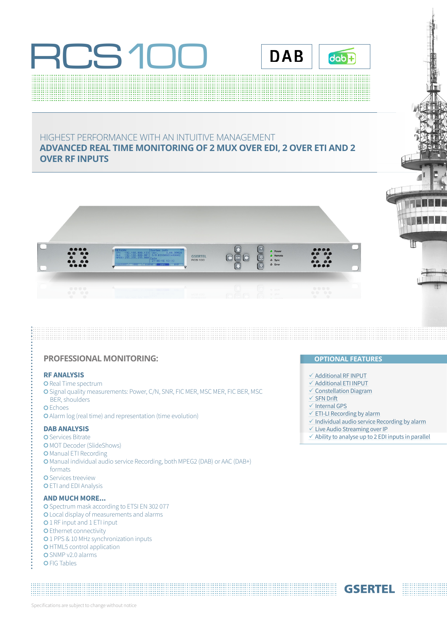



#### HIGHEST PERFORMANCE WITH AN INTUITIVE MANAGEMENT **ADVANCED REAL TIME MONITORING OF 2 MUX OVER EDI, 2 OVER ETI AND 2 OVER RF INPUTS**



#### **PROFESSIONAL MONITORING: OPTIONAL FEATURES**

#### **RF ANALYSIS**

- **O** Real Time spectrum
- O Signal quality measurements: Power, C/N, SNR, FIC MER, MSC MER, FIC BER, MSC BER, shoulders
- 
- O Echoes
- Alarm log (real time) and representation (time evolution)

#### **DAB ANALYSIS**

- O Services Bitrate O MOT Decoder (SlideShows) O Manual ETI Recording **O** Manual individual audio service Recording, both MPEG2 (DAB) or AAC (DAB+) formats O Services treeview O ETI and EDI Analysis **AND MUCH MORE...**
- O Spectrum mask according to ETSI EN 302 077 Local display of measurements and alarms **O** 1 RF input and 1 ETI input **O** Ethernet connectivity **0**1 PPS & 10 MHz synchronization inputs **O**HTML5 control application O SNMP v2.0 alarms O FIG Tables

- $\checkmark$  Additional RF INPUT
- $\checkmark$  Additional ETI INPUT
- $\checkmark$  Constellation Diagram
- $\checkmark$  SFN Drift
- $\checkmark$  Internal GPS
- $\times$  ETI-LI Recording by alarm
- $\checkmark$  Individual audio service Recording by alarm
- $\checkmark$  Live Audio Streaming over IP
- $\checkmark$  Ability to analyse up to 2 EDI inputs in parallel

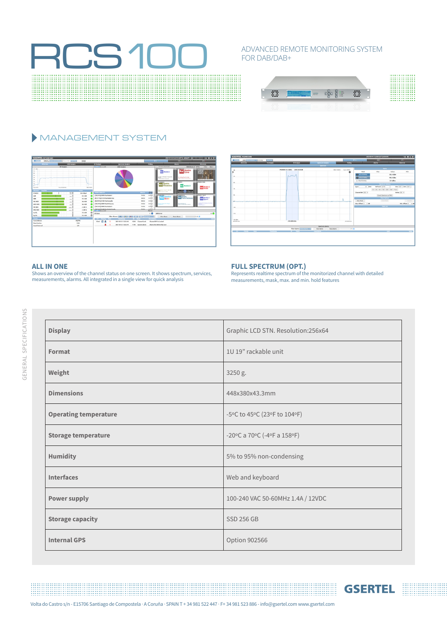## **RCS100**

#### ADVANCED REMOTE MONITORING SYSTEM FOR DAB/DAB+



### MANAGEMENT SYSTEM





**GSERTEL** 

#### **ALL IN ONE**

Shows an overview of the channel status on one screen. It shows spectrum, services, measurements, alarms. All integrated in a single view for quick analysis

#### **FULL SPECTRUM (OPT.)**

Represents realtime spectrum of the monitorized channel with detailed measurements, mask, max. and min. hold features

| <b>Display</b>               | Graphic LCD STN. Resolution:256x64 |
|------------------------------|------------------------------------|
| Format                       | 1U 19" rackable unit               |
| Weight                       | 3250 g.                            |
| <b>Dimensions</b>            | 448x380x43.3mm                     |
| <b>Operating temperature</b> | -5°C to 45°C (23°F to 104°F)       |
| <b>Storage temperature</b>   | -20°C a 70°C (-4°F a 158°F)        |
| <b>Humidity</b>              | 5% to 95% non-condensing           |
| <b>Interfaces</b>            | Web and keyboard                   |
| <b>Power supply</b>          | 100-240 VAC 50-60MHz 1.4A / 12VDC  |
| <b>Storage capacity</b>      | <b>SSD 256 GB</b>                  |
| <b>Internal GPS</b>          | Option 902566                      |

Volta do Castro s/n - E15706 Santiago de Compostela · A Coruña · SPAIN T + 34 981 522 447 · F+ 34 981 523 886 - info@gsertel.com www.gsertel.com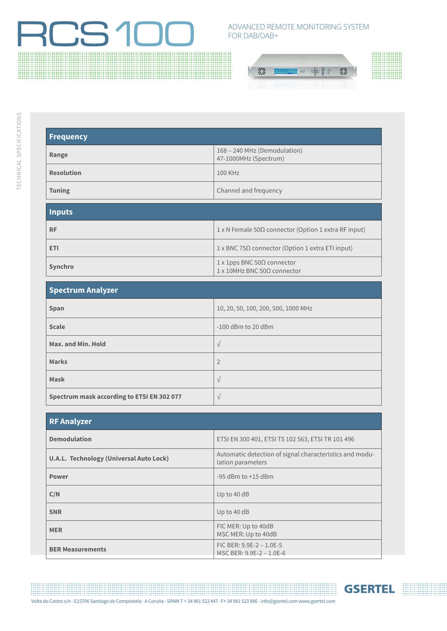# ROSTEN ADVANCED REMOTE MONITORING SYSTEM

### FOR DAB/DAB+



:::::::::::::

| <b>Frequency</b>  |                                                       |
|-------------------|-------------------------------------------------------|
| Range             | 168 - 240 MHz (Demodulation)<br>47-1000MHz (Spectrum) |
| <b>Resolution</b> | 100 KHz                                               |
| <b>Tuning</b>     | Channel and frequency                                 |

| <b>Inputs</b> |                                                                                           |
|---------------|-------------------------------------------------------------------------------------------|
| <b>RF</b>     | $1 \times N$ Female 50 $\Omega$ connector (Option 1 extra RF input)                       |
| <b>ETI</b>    | $1 \times$ BNC 75Ω connector (Option 1 extra ETI input)                                   |
| Synchro       | $1 \times 1$ pps BNC 50 $\Omega$ connector<br>$1 \times 10$ MHz BNC 50 $\Omega$ connector |

| <b>Spectrum Analyzer</b> |  |
|--------------------------|--|
|--------------------------|--|

| $SP$ contract $SP$                         |                                     |
|--------------------------------------------|-------------------------------------|
| Span                                       | 10, 20, 50, 100, 200, 500, 1000 MHz |
| <b>Scale</b>                               | $-100$ dBm to 20 dBm                |
| Max. and Min. Hold                         | $\sqrt{ }$                          |
| <b>Marks</b>                               | $\overline{2}$                      |
| Mask                                       | $\sqrt{ }$                          |
| Spectrum mask according to ETSI EN 302 077 | $\sqrt{ }$                          |

| <b>RF Analyzer</b>                             |                                                                              |
|------------------------------------------------|------------------------------------------------------------------------------|
| <b>Demodulation</b>                            | ETSI EN 300 401, ETSI TS 102 563, ETSI TR 101 496                            |
| <b>U.A.L. Technology (Universal Auto Lock)</b> | Automatic detection of signal characteristics and modu-<br>lation parameters |
| <b>Power</b>                                   | $-95$ dBm to $+15$ dBm                                                       |
| C/N                                            | Up to 40 dB                                                                  |
| <b>SNR</b>                                     | Up to 40 dB                                                                  |
| <b>MER</b>                                     | FIC MER: Up to 40dB<br>MSC MER: Up to 40dB                                   |
| <b>BER Measurements</b>                        | FIC BER: $9.9E-2 - 1.0E-5$<br>MSC BER: 9.9E-2 - 1.0E-6                       |